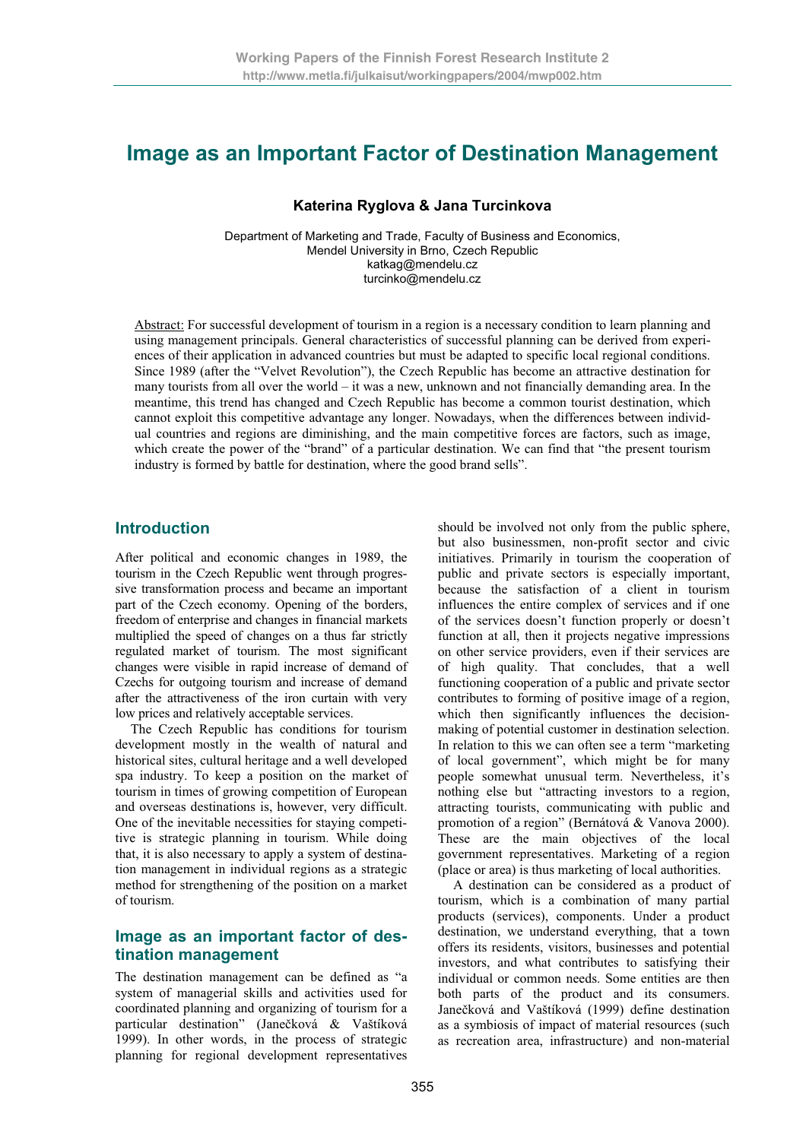# **Image as an Important Factor of Destination Management**

### **Katerina Ryglova & Jana Turcinkova**

Department of Marketing and Trade, Faculty of Business and Economics, Mendel University in Brno, Czech Republic katkag@mendelu.cz turcinko@mendelu.cz

Abstract: For successful development of tourism in a region is a necessary condition to learn planning and using management principals. General characteristics of successful planning can be derived from experiences of their application in advanced countries but must be adapted to specific local regional conditions. Since 1989 (after the "Velvet Revolution"), the Czech Republic has become an attractive destination for many tourists from all over the world – it was a new, unknown and not financially demanding area. In the meantime, this trend has changed and Czech Republic has become a common tourist destination, which cannot exploit this competitive advantage any longer. Nowadays, when the differences between individual countries and regions are diminishing, and the main competitive forces are factors, such as image, which create the power of the "brand" of a particular destination. We can find that "the present tourism industry is formed by battle for destination, where the good brand sells".

# **Introduction**

After political and economic changes in 1989, the tourism in the Czech Republic went through progressive transformation process and became an important part of the Czech economy. Opening of the borders, freedom of enterprise and changes in financial markets multiplied the speed of changes on a thus far strictly regulated market of tourism. The most significant changes were visible in rapid increase of demand of Czechs for outgoing tourism and increase of demand after the attractiveness of the iron curtain with very low prices and relatively acceptable services.

The Czech Republic has conditions for tourism development mostly in the wealth of natural and historical sites, cultural heritage and a well developed spa industry. To keep a position on the market of tourism in times of growing competition of European and overseas destinations is, however, very difficult. One of the inevitable necessities for staying competitive is strategic planning in tourism. While doing that, it is also necessary to apply a system of destination management in individual regions as a strategic method for strengthening of the position on a market of tourism.

# **Image as an important factor of destination management**

The destination management can be defined as "a system of managerial skills and activities used for coordinated planning and organizing of tourism for a particular destination" (Janečková & Vaštíková 1999). In other words, in the process of strategic planning for regional development representatives

should be involved not only from the public sphere, but also businessmen, non-profit sector and civic initiatives. Primarily in tourism the cooperation of public and private sectors is especially important, because the satisfaction of a client in tourism influences the entire complex of services and if one of the services doesn't function properly or doesn't function at all, then it projects negative impressions on other service providers, even if their services are of high quality. That concludes, that a well functioning cooperation of a public and private sector contributes to forming of positive image of a region, which then significantly influences the decisionmaking of potential customer in destination selection. In relation to this we can often see a term "marketing of local government", which might be for many people somewhat unusual term. Nevertheless, it's nothing else but "attracting investors to a region, attracting tourists, communicating with public and promotion of a region" (Bernátová & Vanova 2000). These are the main objectives of the local government representatives. Marketing of a region (place or area) is thus marketing of local authorities.

A destination can be considered as a product of tourism, which is a combination of many partial products (services), components. Under a product destination, we understand everything, that a town offers its residents, visitors, businesses and potential investors, and what contributes to satisfying their individual or common needs. Some entities are then both parts of the product and its consumers. Janečková and Vaštíková (1999) define destination as a symbiosis of impact of material resources (such as recreation area, infrastructure) and non-material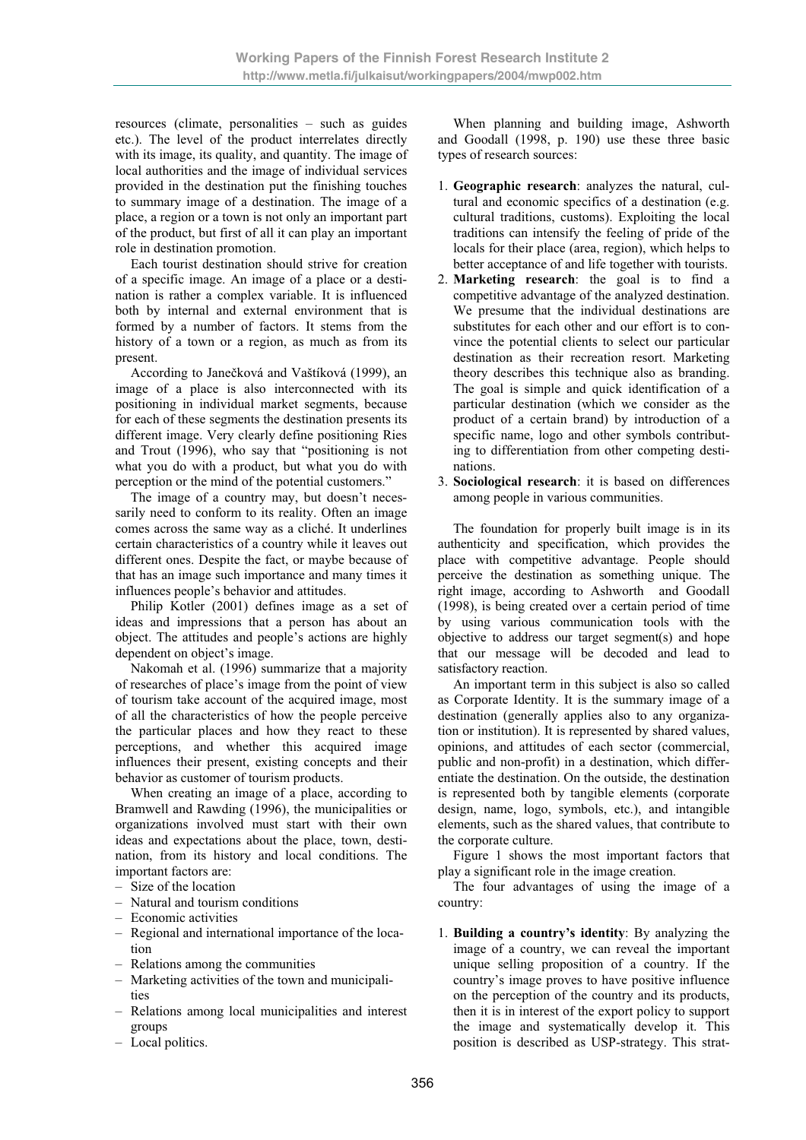resources (climate, personalities – such as guides etc.). The level of the product interrelates directly with its image, its quality, and quantity. The image of local authorities and the image of individual services provided in the destination put the finishing touches to summary image of a destination. The image of a place, a region or a town is not only an important part of the product, but first of all it can play an important role in destination promotion.

Each tourist destination should strive for creation of a specific image. An image of a place or a destination is rather a complex variable. It is influenced both by internal and external environment that is formed by a number of factors. It stems from the history of a town or a region, as much as from its present.

According to Janečková and Vaštíková (1999), an image of a place is also interconnected with its positioning in individual market segments, because for each of these segments the destination presents its different image. Very clearly define positioning Ries and Trout (1996), who say that "positioning is not what you do with a product, but what you do with perception or the mind of the potential customers."

The image of a country may, but doesn't necessarily need to conform to its reality. Often an image comes across the same way as a cliché. It underlines certain characteristics of a country while it leaves out different ones. Despite the fact, or maybe because of that has an image such importance and many times it influences people's behavior and attitudes.

Philip Kotler (2001) defines image as a set of ideas and impressions that a person has about an object. The attitudes and people's actions are highly dependent on object's image.

Nakomah et al. (1996) summarize that a majority of researches of place's image from the point of view of tourism take account of the acquired image, most of all the characteristics of how the people perceive the particular places and how they react to these perceptions, and whether this acquired image influences their present, existing concepts and their behavior as customer of tourism products.

When creating an image of a place, according to Bramwell and Rawding (1996), the municipalities or organizations involved must start with their own ideas and expectations about the place, town, destination, from its history and local conditions. The important factors are:

- Size of the location
- Natural and tourism conditions
- Economic activities
- Regional and international importance of the location
- Relations among the communities
- Marketing activities of the town and municipalities
- Relations among local municipalities and interest groups
- Local politics.

When planning and building image, Ashworth and Goodall (1998, p. 190) use these three basic types of research sources:

- 1. **Geographic research**: analyzes the natural, cultural and economic specifics of a destination (e.g. cultural traditions, customs). Exploiting the local traditions can intensify the feeling of pride of the locals for their place (area, region), which helps to better acceptance of and life together with tourists.
- 2. **Marketing research**: the goal is to find a competitive advantage of the analyzed destination. We presume that the individual destinations are substitutes for each other and our effort is to convince the potential clients to select our particular destination as their recreation resort. Marketing theory describes this technique also as branding. The goal is simple and quick identification of a particular destination (which we consider as the product of a certain brand) by introduction of a specific name, logo and other symbols contributing to differentiation from other competing destinations.
- 3. **Sociological research**: it is based on differences among people in various communities.

The foundation for properly built image is in its authenticity and specification, which provides the place with competitive advantage. People should perceive the destination as something unique. The right image, according to Ashworth and Goodall (1998), is being created over a certain period of time by using various communication tools with the objective to address our target segment(s) and hope that our message will be decoded and lead to satisfactory reaction.

An important term in this subject is also so called as Corporate Identity. It is the summary image of a destination (generally applies also to any organization or institution). It is represented by shared values, opinions, and attitudes of each sector (commercial, public and non-profit) in a destination, which differentiate the destination. On the outside, the destination is represented both by tangible elements (corporate design, name, logo, symbols, etc.), and intangible elements, such as the shared values, that contribute to the corporate culture.

Figure 1 shows the most important factors that play a significant role in the image creation.

The four advantages of using the image of a country:

1. **Building a country's identity**: By analyzing the image of a country, we can reveal the important unique selling proposition of a country. If the country's image proves to have positive influence on the perception of the country and its products, then it is in interest of the export policy to support the image and systematically develop it. This position is described as USP-strategy. This strat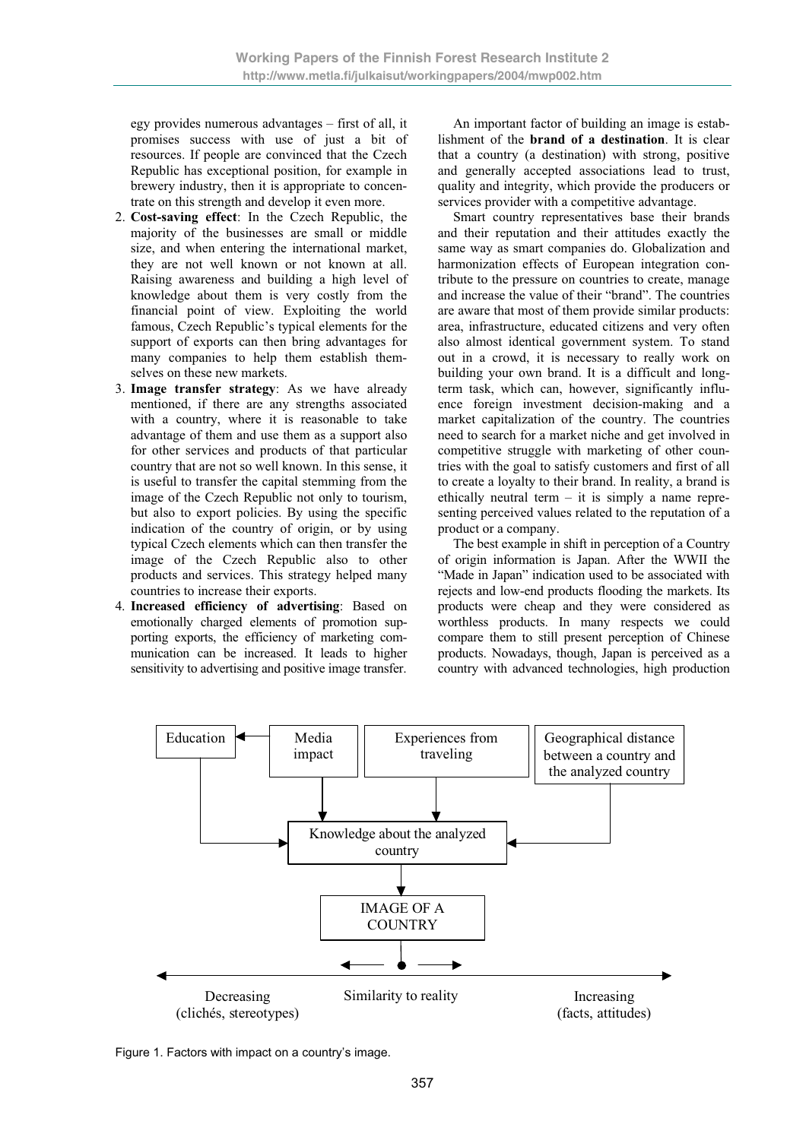egy provides numerous advantages – first of all, it promises success with use of just a bit of resources. If people are convinced that the Czech Republic has exceptional position, for example in brewery industry, then it is appropriate to concentrate on this strength and develop it even more.

- 2. **Cost-saving effect**: In the Czech Republic, the majority of the businesses are small or middle size, and when entering the international market, they are not well known or not known at all. Raising awareness and building a high level of knowledge about them is very costly from the financial point of view. Exploiting the world famous, Czech Republic's typical elements for the support of exports can then bring advantages for many companies to help them establish themselves on these new markets.
- 3. **Image transfer strategy**: As we have already mentioned, if there are any strengths associated with a country, where it is reasonable to take advantage of them and use them as a support also for other services and products of that particular country that are not so well known. In this sense, it is useful to transfer the capital stemming from the image of the Czech Republic not only to tourism, but also to export policies. By using the specific indication of the country of origin, or by using typical Czech elements which can then transfer the image of the Czech Republic also to other products and services. This strategy helped many countries to increase their exports.
- 4. **Increased efficiency of advertising**: Based on emotionally charged elements of promotion supporting exports, the efficiency of marketing communication can be increased. It leads to higher sensitivity to advertising and positive image transfer.

An important factor of building an image is establishment of the **brand of a destination**. It is clear that a country (a destination) with strong, positive and generally accepted associations lead to trust, quality and integrity, which provide the producers or services provider with a competitive advantage.

Smart country representatives base their brands and their reputation and their attitudes exactly the same way as smart companies do. Globalization and harmonization effects of European integration contribute to the pressure on countries to create, manage and increase the value of their "brand". The countries are aware that most of them provide similar products: area, infrastructure, educated citizens and very often also almost identical government system. To stand out in a crowd, it is necessary to really work on building your own brand. It is a difficult and longterm task, which can, however, significantly influence foreign investment decision-making and a market capitalization of the country. The countries need to search for a market niche and get involved in competitive struggle with marketing of other countries with the goal to satisfy customers and first of all to create a loyalty to their brand. In reality, a brand is ethically neutral term  $-$  it is simply a name representing perceived values related to the reputation of a product or a company.

The best example in shift in perception of a Country of origin information is Japan. After the WWII the "Made in Japan" indication used to be associated with rejects and low-end products flooding the markets. Its products were cheap and they were considered as worthless products. In many respects we could compare them to still present perception of Chinese products. Nowadays, though, Japan is perceived as a country with advanced technologies, high production



Figure 1. Factors with impact on a country's image.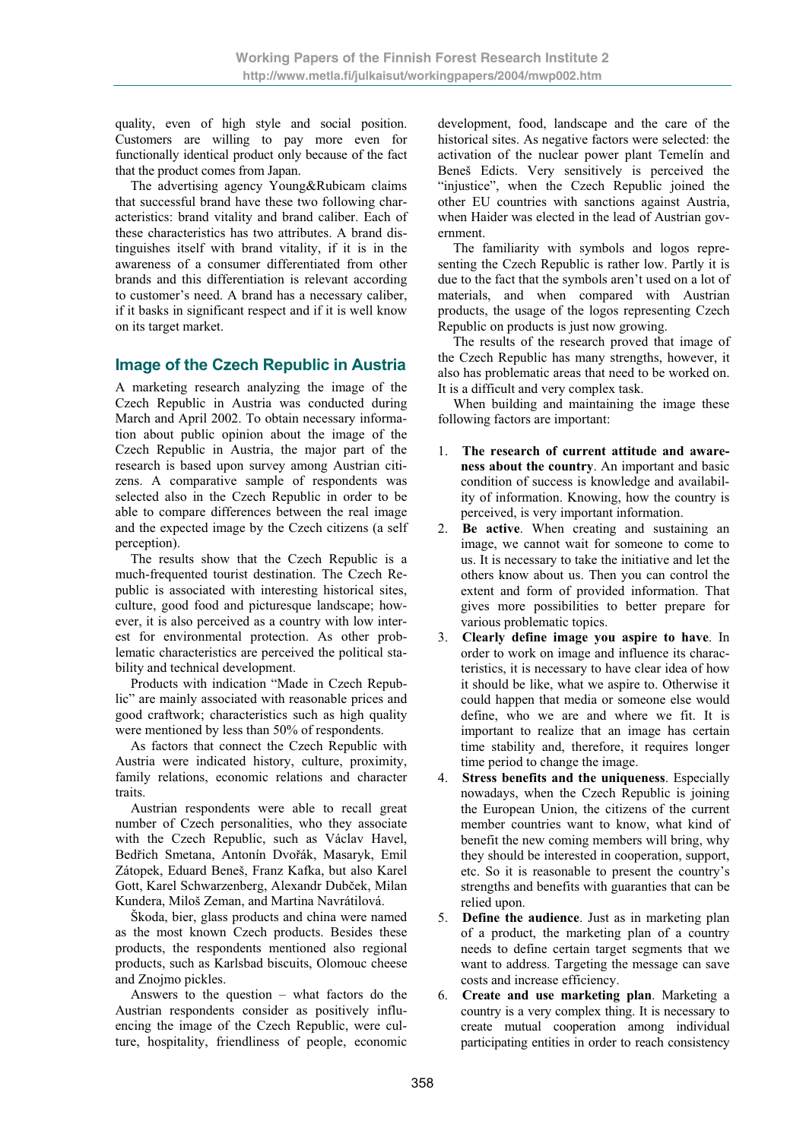quality, even of high style and social position. Customers are willing to pay more even for functionally identical product only because of the fact that the product comes from Japan.

The advertising agency Young&Rubicam claims that successful brand have these two following characteristics: brand vitality and brand caliber. Each of these characteristics has two attributes. A brand distinguishes itself with brand vitality, if it is in the awareness of a consumer differentiated from other brands and this differentiation is relevant according to customer's need. A brand has a necessary caliber, if it basks in significant respect and if it is well know on its target market.

# **Image of the Czech Republic in Austria**

A marketing research analyzing the image of the Czech Republic in Austria was conducted during March and April 2002. To obtain necessary information about public opinion about the image of the Czech Republic in Austria, the major part of the research is based upon survey among Austrian citizens. A comparative sample of respondents was selected also in the Czech Republic in order to be able to compare differences between the real image and the expected image by the Czech citizens (a self perception).

The results show that the Czech Republic is a much-frequented tourist destination. The Czech Republic is associated with interesting historical sites, culture, good food and picturesque landscape; however, it is also perceived as a country with low interest for environmental protection. As other problematic characteristics are perceived the political stability and technical development.

Products with indication "Made in Czech Republic" are mainly associated with reasonable prices and good craftwork; characteristics such as high quality were mentioned by less than 50% of respondents.

As factors that connect the Czech Republic with Austria were indicated history, culture, proximity, family relations, economic relations and character traits.

Austrian respondents were able to recall great number of Czech personalities, who they associate with the Czech Republic, such as Václav Havel, Bedřich Smetana, Antonín Dvořák, Masaryk, Emil Zátopek, Eduard Beneš, Franz Kafka, but also Karel Gott, Karel Schwarzenberg, Alexandr Dubček, Milan Kundera, Miloš Zeman, and Martina Navrátilová.

Škoda, bier, glass products and china were named as the most known Czech products. Besides these products, the respondents mentioned also regional products, such as Karlsbad biscuits, Olomouc cheese and Znojmo pickles.

Answers to the question – what factors do the Austrian respondents consider as positively influencing the image of the Czech Republic, were culture, hospitality, friendliness of people, economic development, food, landscape and the care of the historical sites. As negative factors were selected: the activation of the nuclear power plant Temelín and Beneš Edicts. Very sensitively is perceived the "injustice", when the Czech Republic joined the other EU countries with sanctions against Austria, when Haider was elected in the lead of Austrian government.

The familiarity with symbols and logos representing the Czech Republic is rather low. Partly it is due to the fact that the symbols aren't used on a lot of materials, and when compared with Austrian products, the usage of the logos representing Czech Republic on products is just now growing.

The results of the research proved that image of the Czech Republic has many strengths, however, it also has problematic areas that need to be worked on. It is a difficult and very complex task.

When building and maintaining the image these following factors are important:

- 1. **The research of current attitude and awareness about the country**. An important and basic condition of success is knowledge and availability of information. Knowing, how the country is perceived, is very important information.
- 2. **Be active**. When creating and sustaining an image, we cannot wait for someone to come to us. It is necessary to take the initiative and let the others know about us. Then you can control the extent and form of provided information. That gives more possibilities to better prepare for various problematic topics.
- 3. **Clearly define image you aspire to have**. In order to work on image and influence its characteristics, it is necessary to have clear idea of how it should be like, what we aspire to. Otherwise it could happen that media or someone else would define, who we are and where we fit. It is important to realize that an image has certain time stability and, therefore, it requires longer time period to change the image.
- 4. **Stress benefits and the uniqueness**. Especially nowadays, when the Czech Republic is joining the European Union, the citizens of the current member countries want to know, what kind of benefit the new coming members will bring, why they should be interested in cooperation, support, etc. So it is reasonable to present the country's strengths and benefits with guaranties that can be relied upon.
- 5. **Define the audience**. Just as in marketing plan of a product, the marketing plan of a country needs to define certain target segments that we want to address. Targeting the message can save costs and increase efficiency.
- 6. **Create and use marketing plan**. Marketing a country is a very complex thing. It is necessary to create mutual cooperation among individual participating entities in order to reach consistency